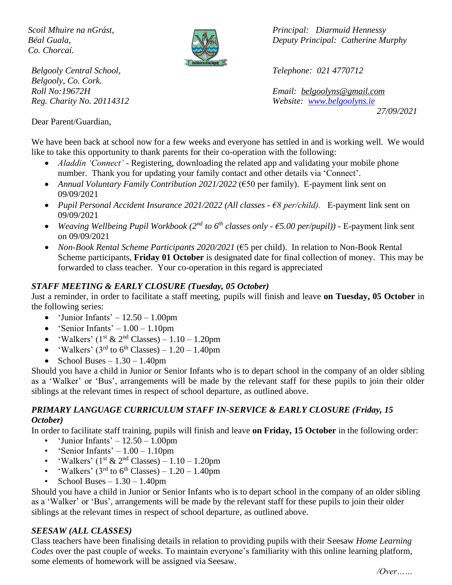*Co. Chorcaí.*



*Belgooly Central School, Telephone: 021 4770712 Belgooly, Co. Cork.*

*Scoil Mhuire na nGrást, Principal: Diarmuid Hennessy Béal Guala, Deputy Principal: Catherine Murphy*

*Roll No:19672H Email: [belgoolyns@gmail.com](mailto:belgoolyns@gmail.com) Reg. Charity No. 20114312 Website: [www.belgoolyns.ie](http://www.belgoolyns.ie/) 27/09/2021*

Dear Parent/Guardian,

We have been back at school now for a few weeks and everyone has settled in and is working well. We would like to take this opportunity to thank parents for their co-operation with the following:

- *Aladdin 'Connect'* Registering, downloading the related app and validating your mobile phone number. Thank you for updating your family contact and other details via 'Connect'.
- *Annual Voluntary Family Contribution 2021/2022* (€50 per family). E-payment link sent on 09/09/2021
- *Pupil Personal Accident Insurance 2021/2022 (All classes - €8 per/child).* E-payment link sent on 09/09/2021
- *Weaving Wellbeing Pupil Workbook (2nd to 6th classes only - €5.00 per/pupil)) -* E-payment link sent on 09/09/2021
- *Non-Book Rental Scheme Participants 2020/2021* (€5 per child). In relation to Non-Book Rental Scheme participants, **Friday 01 October** is designated date for final collection of money. This may be forwarded to class teacher. Your co-operation in this regard is appreciated

#### *STAFF MEETING & EARLY CLOSURE (Tuesday, 05 October)*

Just a reminder, in order to facilitate a staff meeting, pupils will finish and leave **on Tuesday, 05 October** in the following series:

- 'Junior Infants'  $-12.50 1.00$ pm
- 'Senior Infants'  $-1.00 1.10$ pm
- 'Walkers' ( $1$ <sup>st</sup> &  $2<sup>nd</sup>$  Classes)  $1.10 1.20$ pm
- 'Walkers'  $(3<sup>rd</sup>$  to 6<sup>th</sup> Classes) 1.20 1.40pm
- School Buses  $1.30 1.40$ pm

Should you have a child in Junior or Senior Infants who is to depart school in the company of an older sibling as a 'Walker' or 'Bus', arrangements will be made by the relevant staff for these pupils to join their older siblings at the relevant times in respect of school departure, as outlined above.

#### *PRIMARY LANGUAGE CURRICULUM STAFF IN-SERVICE & EARLY CLOSURE (Friday, 15 October)*

In order to facilitate staff training, pupils will finish and leave **on Friday, 15 October** in the following order:

- 'Junior Infants'  $-12.50 1.00$ pm
- 'Senior Infants'  $-1.00 1.10$ pm
- 'Walkers' ( $1<sup>st</sup>$  &  $2<sup>nd</sup>$  Classes) 1.10 1.20pm
- 'Walkers'  $(3<sup>rd</sup>$  to 6<sup>th</sup> Classes) 1.20 1.40pm
- School Buses  $-1.30 1.40$ pm

Should you have a child in Junior or Senior Infants who is to depart school in the company of an older sibling as a 'Walker' or 'Bus', arrangements will be made by the relevant staff for these pupils to join their older siblings at the relevant times in respect of school departure, as outlined above.

#### *SEESAW (ALL CLASSES)*

Class teachers have been finalising details in relation to providing pupils with their Seesaw *Home Learning Codes* over the past couple of weeks. To maintain everyone's familiarity with this online learning platform, some elements of homework will be assigned via Seesaw.

*/Over……*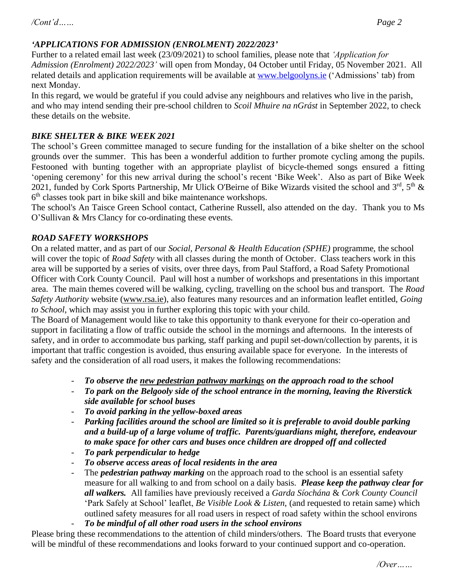# *'APPLICATIONS FOR ADMISSION (ENROLMENT) 2022/2023'*

Further to a related email last week (23/09/2021) to school families, please note that *'Application for Admission (Enrolment) 2022/2023'* will open from Monday, 04 October until Friday, 05 November 2021. All related details and application requirements will be available at [www.belgoolyns.ie](http://www.belgoolyns.ie/) ('Admissions' tab) from next Monday.

In this regard, we would be grateful if you could advise any neighbours and relatives who live in the parish, and who may intend sending their pre-school children to *Scoil Mhuire na nGrást* in September 2022, to check these details on the website.

# *BIKE SHELTER & BIKE WEEK 2021*

The school's Green committee managed to secure funding for the installation of a bike shelter on the school grounds over the summer. This has been a wonderful addition to further promote cycling among the pupils. Festooned with bunting together with an appropriate playlist of bicycle-themed songs ensured a fitting 'opening ceremony' for this new arrival during the school's recent 'Bike Week'. Also as part of Bike Week 2021, funded by Cork Sports Partnership, Mr Ulick O'Beirne of Bike Wizards visited the school and  $3^{\text{rd}}$ ,  $5^{\text{th}}$  & 6<sup>th</sup> classes took part in bike skill and bike maintenance workshops.

The school's An Taisce Green School contact, Catherine Russell, also attended on the day. Thank you to Ms O'Sullivan & Mrs Clancy for co-ordinating these events.

# *ROAD SAFETY WORKSHOPS*

On a related matter, and as part of our *Social, Personal & Health Education (SPHE)* programme, the school will cover the topic of *Road Safety* with all classes during the month of October. Class teachers work in this area will be supported by a series of visits, over three days, from Paul Stafford, a Road Safety Promotional Officer with Cork County Council. Paul will host a number of workshops and presentations in this important area. The main themes covered will be walking, cycling, travelling on the school bus and transport. The *Road Safety Authority* website [\(www.rsa.ie\)](http://www.rsa.ie/), also features many resources and an information leaflet entitled, *Going to School*, which may assist you in further exploring this topic with your child.

The Board of Management would like to take this opportunity to thank everyone for their co-operation and support in facilitating a flow of traffic outside the school in the mornings and afternoons. In the interests of safety, and in order to accommodate bus parking, staff parking and pupil set-down/collection by parents, it is important that traffic congestion is avoided, thus ensuring available space for everyone. In the interests of safety and the consideration of all road users, it makes the following recommendations:

- To observe the <u>new pedestrian pathway markings</u> on the approach road to the school
- *To park on the Belgooly side of the school entrance in the morning, leaving the Riverstick side available for school buses*
- *To avoid parking in the yellow-boxed areas*
- *Parking facilities around the school are limited so it is preferable to avoid double parking and a build-up of a large volume of traffic. Parents/guardians might, therefore, endeavour to make space for other cars and buses once children are dropped off and collected*
- *To park perpendicular to hedge*
- *To observe access areas of local residents in the area*
- The *pedestrian pathway marking* on the approach road to the school is an essential safety measure for all walking to and from school on a daily basis. *Please keep the pathway clear for all walkers.* All families have previously received a *Garda Síochána* & *Cork County Council* 'Park Safely at School' leaflet, *Be Visible Look & Listen*, (and requested to retain same) which outlined safety measures for all road users in respect of road safety within the school environs - *To be mindful of all other road users in the school environs*

Please bring these recommendations to the attention of child minders/others. The Board trusts that everyone will be mindful of these recommendations and looks forward to your continued support and co-operation.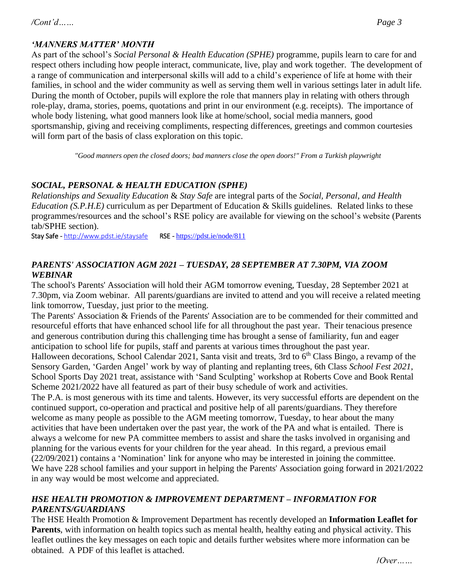As part of the school's *Social Personal & Health Education (SPHE)* programme, pupils learn to care for and respect others including how people interact, communicate, live, play and work together. The development of a range of communication and interpersonal skills will add to a child's experience of life at home with their families, in school and the wider community as well as serving them well in various settings later in adult life. During the month of October, pupils will explore the role that manners play in relating with others through role-play, drama, stories, poems, quotations and print in our environment (e.g. receipts). The importance of whole body listening, what good manners look like at home/school, social media manners, good sportsmanship, giving and receiving compliments, respecting differences, greetings and common courtesies will form part of the basis of class exploration on this topic.

*"Good manners open the closed doors; bad manners close the open doors!" From a Turkish playwright*

# *SOCIAL, PERSONAL & HEALTH EDUCATION (SPHE)*

*Relationships and Sexuality Education* & *Stay Safe* are integral parts of the *Social, Personal, and Health Education (S.P.H.E)* curriculum as per Department of Education & Skills guidelines. Related links to these programmes/resources and the school's RSE policy are available for viewing on the school's website (Parents tab/SPHE section).

Stay Safe - <http://www.pdst.ie/staysafe>RSE - <https://pdst.ie/node/811>

# *PARENTS' ASSOCIATION AGM 2021 – TUESDAY, 28 SEPTEMBER AT 7.30PM, VIA ZOOM WEBINAR*

The school's Parents' Association will hold their AGM tomorrow evening, Tuesday, 28 September 2021 at 7.30pm, via Zoom webinar. All parents/guardians are invited to attend and you will receive a related meeting link tomorrow, Tuesday, just prior to the meeting.

The Parents' Association & Friends of the Parents' Association are to be commended for their committed and resourceful efforts that have enhanced school life for all throughout the past year. Their tenacious presence and generous contribution during this challenging time has brought a sense of familiarity, fun and eager anticipation to school life for pupils, staff and parents at various times throughout the past year.

Halloween decorations, School Calendar 2021, Santa visit and treats, 3rd to 6<sup>th</sup> Class Bingo, a revamp of the Sensory Garden, 'Garden Angel' work by way of planting and replanting trees, 6th Class *School Fest 2021*, School Sports Day 2021 treat, assistance with 'Sand Sculpting' workshop at Roberts Cove and Book Rental Scheme 2021/2022 have all featured as part of their busy schedule of work and activities.

The P.A. is most generous with its time and talents. However, its very successful efforts are dependent on the continued support, co-operation and practical and positive help of all parents/guardians. They therefore welcome as many people as possible to the AGM meeting tomorrow, Tuesday, to hear about the many activities that have been undertaken over the past year, the work of the PA and what is entailed. There is always a welcome for new PA committee members to assist and share the tasks involved in organising and planning for the various events for your children for the year ahead. In this regard, a previous email (22/09/2021) contains a 'Nomination' link for anyone who may be interested in joining the committee. We have 228 school families and your support in helping the Parents' Association going forward in 2021/2022 in any way would be most welcome and appreciated.

# *HSE HEALTH PROMOTION & IMPROVEMENT DEPARTMENT – INFORMATION FOR PARENTS/GUARDIANS*

The HSE Health Promotion & Improvement Department has recently developed an **Information Leaflet for Parents**, with information on health topics such as mental health, healthy eating and physical activity. This leaflet outlines the key messages on each topic and details further websites where more information can be obtained. A PDF of this leaflet is attached.